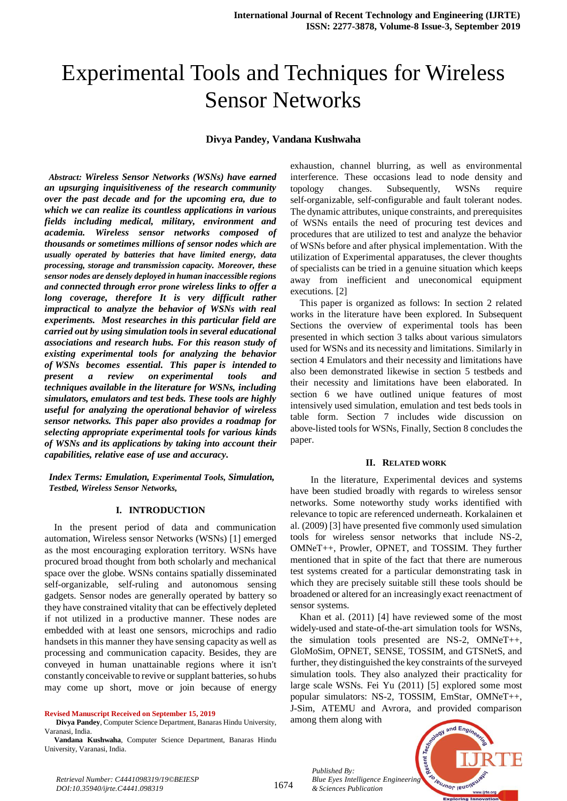# Experimental Tools and Techniques for Wireless Sensor Networks

#### **Divya Pandey, Vandana Kushwaha**

*Abstract: Wireless Sensor Networks (WSNs) have earned an upsurging inquisitiveness of the research community over the past decade and for the upcoming era, due to which we can realize its countless applications in various fields including medical, military, environment and academia. Wireless sensor networks composed of thousands or sometimes millions of sensor nodes which are usually operated by batteries that have limited energy, data processing, storage and transmission capacity. Moreover, these sensor nodes are densely deployed in human inaccessible regions and connected through error prone wireless links to offer a long coverage, therefore It is very difficult rather impractical to analyze the behavior of WSNs with real experiments. Most researches in this particular field are carried out by using simulation tools in several educational associations and research hubs. For this reason study of existing experimental tools for analyzing the behavior of WSNs becomes essential. This paper is intended to present a review on experimental tools and techniques available in the literature for WSNs, including simulators, emulators and test beds. These tools are highly useful for analyzing the operational behavior of wireless sensor networks. This paper also provides a roadmap for selecting appropriate experimental tools for various kinds of WSNs and its applications by taking into account their capabilities, relative ease of use and accuracy.*

*Index Terms: Emulation, Experimental Tools, Simulation, Testbed, Wireless Sensor Networks,* 

#### **I. INTRODUCTION**

In the present period of data and communication automation, Wireless sensor Networks (WSNs) [1] emerged as the most encouraging exploration territory. WSNs have procured broad thought from both scholarly and mechanical space over the globe. WSNs contains spatially disseminated self-organizable, self-ruling and autonomous sensing gadgets. Sensor nodes are generally operated by battery so they have constrained vitality that can be effectively depleted if not utilized in a productive manner. These nodes are embedded with at least one sensors, microchips and radio handsets in this manner they have sensing capacity as well as processing and communication capacity. Besides, they are conveyed in human unattainable regions where it isn't constantly conceivable to revive or supplant batteries, so hubs may come up short, move or join because of energy

#### **Revised Manuscript Received on September 15, 2019**

**Divya Pandey**, Computer Science Department, Banaras Hindu University, Varanasi, India.

**Vandana Kushwaha**, Computer Science Department, Banaras Hindu University, Varanasi, India.

exhaustion, channel blurring, as well as environmental interference. These occasions lead to node density and topology changes. Subsequently, WSNs require self-organizable, self-configurable and fault tolerant nodes. The dynamic attributes, unique constraints, and prerequisites of WSNs entails the need of procuring test devices and procedures that are utilized to test and analyze the behavior of WSNs before and after physical implementation. With the utilization of Experimental apparatuses, the clever thoughts of specialists can be tried in a genuine situation which keeps away from inefficient and uneconomical equipment executions. [2]

This paper is organized as follows: In section 2 related works in the literature have been explored. In Subsequent Sections the overview of experimental tools has been presented in which section 3 talks about various simulators used for WSNs and its necessity and limitations. Similarly in section 4 Emulators and their necessity and limitations have also been demonstrated likewise in section 5 testbeds and their necessity and limitations have been elaborated. In section 6 we have outlined unique features of most intensively used simulation, emulation and test beds tools in table form. Section 7 includes wide discussion on above-listed tools for WSNs, Finally, Section 8 concludes the paper.

#### **II. RELATED WORK**

In the literature, Experimental devices and systems have been studied broadly with regards to wireless sensor networks. Some noteworthy study works identified with relevance to topic are referenced underneath. Korkalainen et al. (2009) [3] have presented five commonly used simulation tools for wireless sensor networks that include NS-2, OMNeT++, Prowler, OPNET, and TOSSIM. They further mentioned that in spite of the fact that there are numerous test systems created for a particular demonstrating task in which they are precisely suitable still these tools should be broadened or altered for an increasingly exact reenactment of sensor systems.

Khan et al. (2011) [4] have reviewed some of the most widely-used and state-of-the-art simulation tools for WSNs, the simulation tools presented are NS-2, OMNeT++, GloMoSim, OPNET, SENSE, TOSSIM, and GTSNetS, and further, they distinguished the key constraints of the surveyed simulation tools. They also analyzed their practicality for large scale WSNs. Fei Yu (2011) [5] explored some most popular simulators: NS-2, TOSSIM, EmStar, OMNeT++, J-Sim, ATEMU and Avrora, and provided comparison among them along with



*Retrieval Number: C4441098319/19©BEIESP DOI:10.35940/ijrte.C4441.098319*

*Published By:*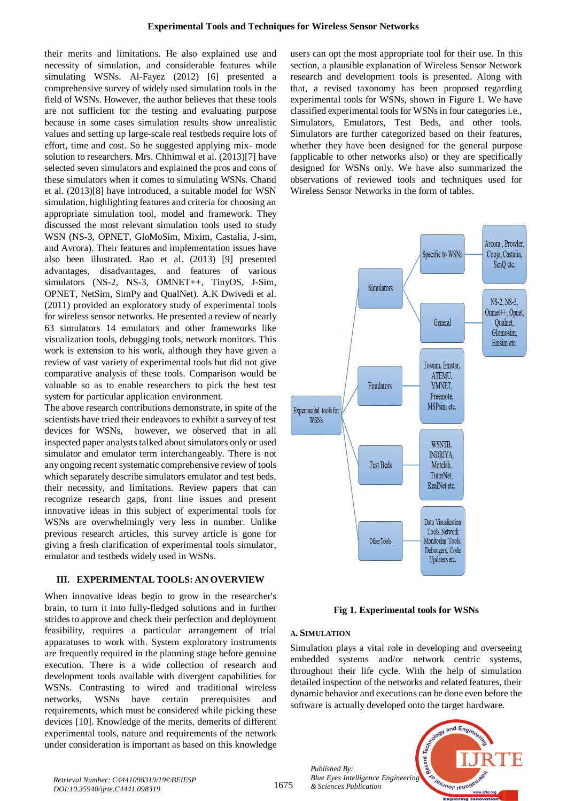their merits and limitations. He also explained use and necessity of simulation, and considerable features while simulating WSNs. Al-Fayez (2012) [6] presented a comprehensive survey of widely used simulation tools in the field of WSNs. However, the author believes that these tools are not sufficient for the testing and evaluating purpose because in some cases simulation results show unrealistic values and setting up large-scale real testbeds require lots of effort, time and cost. So he suggested applying mix- mode solution to researchers. Mrs. Chhimwal et al. (2013)[7] have selected seven simulators and explained the pros and cons of these simulators when it comes to simulating WSNs. Chand et al. (2013)[8] have introduced, a suitable model for WSN simulation, highlighting features and criteria for choosing an appropriate simulation tool, model and framework. They discussed the most relevant simulation tools used to study WSN (NS-3, OPNET, GloMoSim, Mixim, Castalia, J-sim, and Avrora). Their features and implementation issues have also been illustrated. Rao et al. (2013) [9] presented advantages, disadvantages, and features of various simulators (NS-2, NS-3, OMNET++, TinyOS, J-Sim, OPNET, NetSim, SimPy and QualNet). A.K Dwivedi et al. (2011) provided an exploratory study of experimental tools for wireless sensor networks. He presented a review of nearly 63 simulators 14 emulators and other frameworks like visualization tools, debugging tools, network monitors. This work is extension to his work, although they have given a review of vast variety of experimental tools but did not give comparative analysis of these tools. Comparison would be valuable so as to enable researchers to pick the best test system for particular application environment.

The above research contributions demonstrate, in spite of the scientists have tried their endeavors to exhibit a survey of test devices for WSNs, however, we observed that in all inspected paper analysts talked about simulators only or used simulator and emulator term interchangeably. There is not any ongoing recent systematic comprehensive review of tools which separately describe simulators emulator and test beds, their necessity, and limitations. Review papers that can recognize research gaps, front line issues and present innovative ideas in this subject of experimental tools for WSNs are overwhelmingly very less in number. Unlike previous research articles, this survey article is gone for giving a fresh clarification of experimental tools simulator, emulator and testbeds widely used in WSNs.

# **III. EXPERIMENTAL TOOLS: AN OVERVIEW**

When innovative ideas begin to grow in the researcher's brain, to turn it into fully-fledged solutions and in further strides to approve and check their perfection and deployment feasibility, requires a particular arrangement of trial apparatuses to work with. System exploratory instruments are frequently required in the planning stage before genuine execution. There is a wide collection of research and development tools available with divergent capabilities for WSNs. Contrasting to wired and traditional wireless networks, WSNs have certain prerequisites and requirements, which must be considered while picking these devices [10]. Knowledge of the merits, demerits of different experimental tools, nature and requirements of the network under consideration is important as based on this knowledge users can opt the most appropriate tool for their use. In this section, a plausible explanation of Wireless Sensor Network research and development tools is presented. Along with that, a revised taxonomy has been proposed regarding experimental tools for WSNs, shown in Figure 1. We have classified experimental tools for WSNs in four categories i.e., Simulators, Emulators, Test Beds, and other tools. Simulators are further categorized based on their features, whether they have been designed for the general purpose (applicable to other networks also) or they are specifically designed for WSNs only. We have also summarized the observations of reviewed tools and techniques used for Wireless Sensor Networks in the form of tables.



**Fig 1. Experimental tools for WSNs**

# **A. SIMULATION**

*Published By:*

Simulation plays a vital role in developing and overseeing embedded systems and/or network centric systems, throughout their life cycle. With the help of simulation detailed inspection of the networks and related features, their dynamic behavior and executions can be done even before the software is actually developed onto the target hardware.

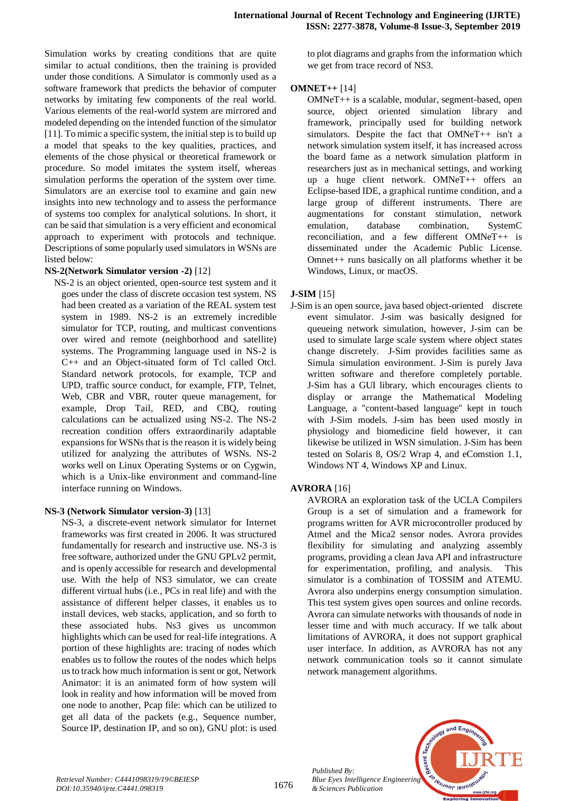Simulation works by creating conditions that are quite similar to actual conditions, then the training is provided under those conditions. A Simulator is commonly used as a software framework that predicts the behavior of computer networks by imitating few components of the real world. Various elements of the real-world system are mirrored and modeled depending on the intended function of the simulator [11]. To mimic a specific system, the initial step is to build up a model that speaks to the key qualities, practices, and elements of the chose physical or theoretical framework or procedure. So model imitates the system itself, whereas simulation performs the operation of the system over time. Simulators are an exercise tool to examine and gain new insights into new technology and to assess the performance of systems too complex for analytical solutions. In short, it can be said that simulation is a very efficient and economical approach to experiment with protocols and technique. Descriptions of some popularly used simulators in WSNs are listed below:

#### **NS-2(Network Simulator version -2)** [12]

NS-2 is an object oriented, open-source test system and it goes under the class of discrete occasion test system. NS had been created as a variation of the REAL system test system in 1989. NS-2 is an extremely incredible simulator for TCP, routing, and multicast conventions over wired and remote (neighborhood and satellite) systems. The Programming language used in NS-2 is C++ and an Object-situated form of Tcl called Otcl. Standard network protocols, for example, TCP and UPD, traffic source conduct, for example, FTP, Telnet, Web, CBR and VBR, router queue management, for example, Drop Tail, RED, and CBQ, routing calculations can be actualized using NS-2. The NS-2 recreation condition offers extraordinarily adaptable expansions for WSNs that is the reason it is widely being utilized for analyzing the attributes of WSNs. NS-2 works well on Linux Operating Systems or on Cygwin, which is a Unix-like environment and command-line interface running on Windows.

## **NS-3 (Network Simulator version-3)** [13]

NS-3, a discrete-event network simulator for Internet frameworks was first created in 2006. It was structured fundamentally for research and instructive use. NS-3 is free software, authorized under the GNU GPLv2 permit, and is openly accessible for research and developmental use. With the help of NS3 simulator, we can create different virtual hubs (i.e., PCs in real life) and with the assistance of different helper classes, it enables us to install devices, web stacks, application, and so forth to these associated hubs. Ns3 gives us uncommon highlights which can be used for real-life integrations. A portion of these highlights are: tracing of nodes which enables us to follow the routes of the nodes which helps us to track how much information is sent or got, Network Animator: it is an animated form of how system will look in reality and how information will be moved from one node to another, Pcap file: which can be utilized to get all data of the packets (e.g., Sequence number, Source IP, destination IP, and so on), GNU plot: is used to plot diagrams and graphs from the information which we get from trace record of NS3.

## **OMNET++** [14]

OMNeT++ is a scalable, modular, segment-based, open source, object oriented simulation library and framework, principally used for building network simulators. Despite the fact that OMNeT++ isn't a network simulation system itself, it has increased across the board fame as a network simulation platform in researchers just as in mechanical settings, and working up a huge client network. OMNeT++ offers an Eclipse-based IDE, a graphical runtime condition, and a large group of different instruments. There are augmentations for constant stimulation, network emulation, database combination, SystemC reconciliation, and a few different OMNeT++ is disseminated under the Academic Public License. Omnet++ runs basically on all platforms whether it be Windows, Linux, or macOS.

## **J-SIM** [15]

J-Sim is an open source, java based object-oriented discrete event simulator. J-sim was basically designed for queueing network simulation, however, J-sim can be used to simulate large scale system where object states change discretely. J-Sim provides facilities same as Simula simulation environment. J-Sim is purely Java written software and therefore completely portable. J-Sim has a GUI library, which encourages clients to display or arrange the Mathematical Modeling Language, a "content-based language" kept in touch with J-Sim models. J-sim has been used mostly in physiology and biomedicine field however, it can likewise be utilized in WSN simulation. J-Sim has been tested on Solaris 8, OS/2 Wrap 4, and eComstion 1.1, Windows NT 4, Windows XP and Linux.

## **AVRORA** [16]

AVRORA an exploration task of the UCLA Compilers Group is a set of simulation and a framework for programs written for AVR microcontroller produced by Atmel and the Mica2 sensor nodes. Avrora provides flexibility for simulating and analyzing assembly programs, providing a clean Java API and infrastructure for experimentation, profiling, and analysis. This simulator is a combination of TOSSIM and ATEMU. Avrora also underpins energy consumption simulation. This test system gives open sources and online records. Avrora can simulate networks with thousands of node in lesser time and with much accuracy. If we talk about limitations of AVRORA, it does not support graphical user interface. In addition, as AVRORA has not any network communication tools so it cannot simulate network management algorithms.



and Engr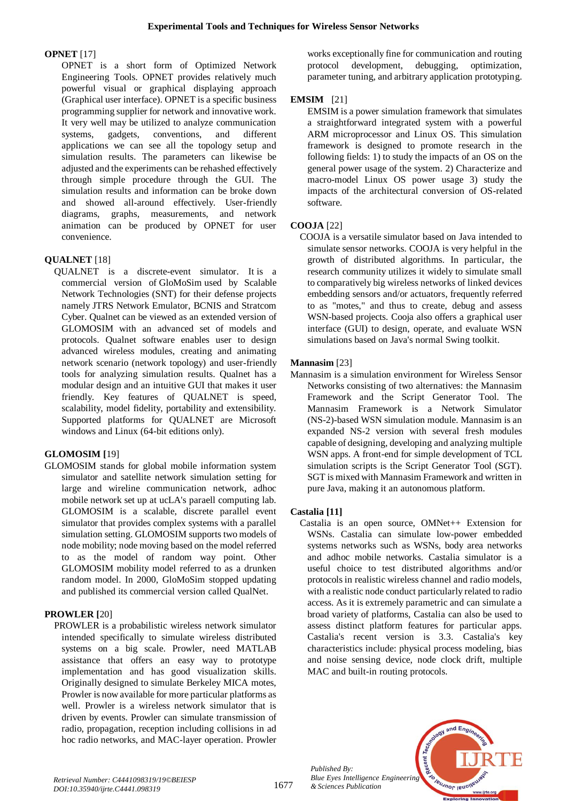# **OPNET** [17]

OPNET is a short form of Optimized Network Engineering Tools. OPNET provides relatively much powerful visual or graphical displaying approach (Graphical user interface). OPNET is a specific business programming supplier for network and innovative work. It very well may be utilized to analyze communication systems, gadgets, conventions, and different applications we can see all the topology setup and simulation results. The parameters can likewise be adjusted and the experiments can be rehashed effectively through simple procedure through the GUI. The simulation results and information can be broke down and showed all-around effectively. User-friendly diagrams, graphs, measurements, and network animation can be produced by OPNET for user convenience.

# **QUALNET** [18]

QUALNET is a discrete-event simulator. It is a commercial version of GloMoSim used by Scalable Network Technologies (SNT) for their defense projects namely JTRS Network Emulator, BCNIS and Stratcom Cyber. Qualnet can be viewed as an extended version of GLOMOSIM with an advanced set of models and protocols. Qualnet software enables user to design advanced wireless modules, creating and animating network scenario (network topology) and user-friendly tools for analyzing simulation results. Qualnet has a modular design and an intuitive GUI that makes it user friendly. Key features of QUALNET is speed, scalability, model fidelity, portability and extensibility. Supported platforms for QUALNET are Microsoft windows and Linux (64-bit editions only).

# **GLOMOSIM [**19]

GLOMOSIM stands for global mobile information system simulator and satellite network simulation setting for large and wireline communication network, adhoc mobile network set up at ucLA's paraell computing lab. GLOMOSIM is a scalable, discrete parallel event simulator that provides complex systems with a parallel simulation setting. GLOMOSIM supports two models of node mobility; node moving based on the model referred to as the model of random way point. Other GLOMOSIM mobility model referred to as a drunken random model. In 2000, GloMoSim stopped updating and published its commercial version called QualNet.

# **PROWLER [**20]

PROWLER is a probabilistic wireless network simulator intended specifically to simulate wireless distributed systems on a big scale. Prowler, need MATLAB assistance that offers an easy way to prototype implementation and has good visualization skills. Originally designed to simulate Berkeley MICA motes, Prowler is now available for more particular platforms as well. Prowler is a wireless network simulator that is driven by events. Prowler can simulate transmission of radio, propagation, reception including collisions in ad hoc radio networks, and MAC-layer operation. Prowler

works exceptionally fine for communication and routing protocol development, debugging, optimization, parameter tuning, and arbitrary application prototyping.

# **EMSIM** [21]

EMSIM is a power simulation framework that simulates a straightforward integrated system with a powerful ARM microprocessor and Linux OS. This simulation framework is designed to promote research in the following fields: 1) to study the impacts of an OS on the general power usage of the system. 2) Characterize and macro-model Linux OS power usage 3) study the impacts of the architectural conversion of OS-related software.

# **COOJA** [22]

COOJA is a versatile simulator based on Java intended to simulate sensor networks. COOJA is very helpful in the growth of distributed algorithms. In particular, the research community utilizes it widely to simulate small to comparatively big wireless networks of linked devices embedding sensors and/or actuators, frequently referred to as "motes," and thus to create, debug and assess WSN-based projects. Cooja also offers a graphical user interface (GUI) to design, operate, and evaluate WSN simulations based on Java's normal Swing toolkit.

# **Mannasim** [23]

Mannasim is a simulation environment for Wireless Sensor Networks consisting of two alternatives: the Mannasim Framework and the Script Generator Tool. The Mannasim Framework is a Network Simulator (NS-2)-based WSN simulation module. Mannasim is an expanded NS-2 version with several fresh modules capable of designing, developing and analyzing multiple WSN apps. A front-end for simple development of TCL simulation scripts is the Script Generator Tool (SGT). SGT is mixed with Mannasim Framework and written in pure Java, making it an autonomous platform.

# **Castalia [11]**

Castalia is an open source, OMNet++ Extension for WSNs. Castalia can simulate low-power embedded systems networks such as WSNs, body area networks and adhoc mobile networks. Castalia simulator is a useful choice to test distributed algorithms and/or protocols in realistic wireless channel and radio models, with a realistic node conduct particularly related to radio access. As it is extremely parametric and can simulate a broad variety of platforms, Castalia can also be used to assess distinct platform features for particular apps. Castalia's recent version is 3.3. Castalia's key characteristics include: physical process modeling, bias and noise sensing device, node clock drift, multiple MAC and built-in routing protocols.

*Published By: Blue Eyes Intelligence Engineering & Sciences Publication* 

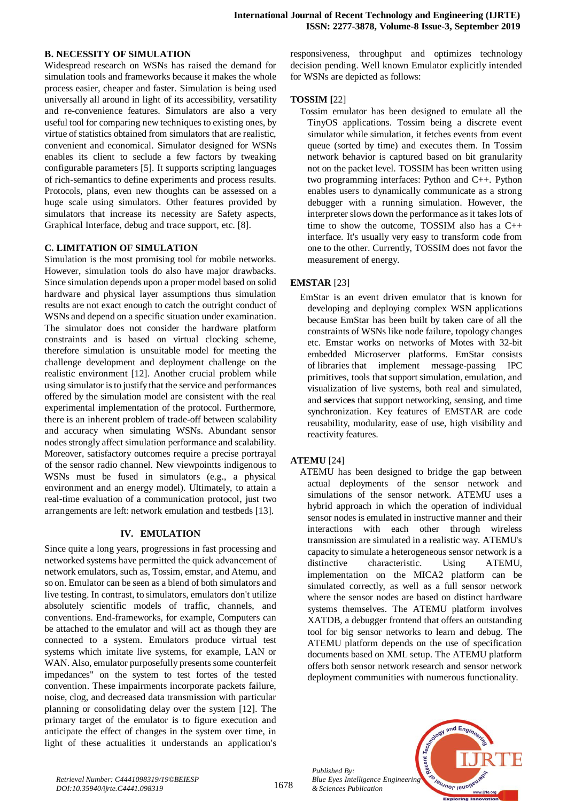## **B. NECESSITY OF SIMULATION**

Widespread research on WSNs has raised the demand for simulation tools and frameworks because it makes the whole process easier, cheaper and faster. Simulation is being used universally all around in light of its accessibility, versatility and re-convenience features. Simulators are also a very useful tool for comparing new techniques to existing ones, by virtue of statistics obtained from simulators that are realistic, convenient and economical. Simulator designed for WSNs enables its client to seclude a few factors by tweaking configurable parameters [5]. It supports scripting languages of rich-semantics to define experiments and process results. Protocols, plans, even new thoughts can be assessed on a huge scale using simulators. Other features provided by simulators that increase its necessity are Safety aspects, Graphical Interface, debug and trace support, etc. [8].

#### **C. LIMITATION OF SIMULATION**

Simulation is the most promising tool for mobile networks. However, simulation tools do also have major drawbacks. Since simulation depends upon a proper model based on solid hardware and physical layer assumptions thus simulation results are not exact enough to catch the outright conduct of WSNs and depend on a specific situation under examination. The simulator does not consider the hardware platform constraints and is based on virtual clocking scheme, therefore simulation is unsuitable model for meeting the challenge development and deployment challenge on the realistic environment [12]. Another crucial problem while using simulator is to justify that the service and performances offered by the simulation model are consistent with the real experimental implementation of the protocol. Furthermore, there is an inherent problem of trade-off between scalability and accuracy when simulating WSNs. Abundant sensor nodes strongly affect simulation performance and scalability. Moreover, satisfactory outcomes require a precise portrayal of the sensor radio channel. New viewpointts indigenous to WSNs must be fused in simulators (e.g., a physical environment and an energy model). Ultimately, to attain a real-time evaluation of a communication protocol, just two arrangements are left: network emulation and testbeds [13].

## **IV. EMULATION**

Since quite a long years, progressions in fast processing and networked systems have permitted the quick advancement of network emulators, such as, Tossim, emstar, and Atemu, and so on. Emulator can be seen as a blend of both simulators and live testing. In contrast, to simulators, emulators don't utilize absolutely scientific models of traffic, channels, and conventions. End-frameworks, for example, Computers can be attached to the emulator and will act as though they are connected to a system. Emulators produce virtual test systems which imitate live systems, for example, LAN or WAN. Also, emulator purposefully presents some counterfeit impedances" on the system to test fortes of the tested convention. These impairments incorporate packets failure, noise, clog, and decreased data transmission with particular planning or consolidating delay over the system [12]. The primary target of the emulator is to figure execution and anticipate the effect of changes in the system over time, in light of these actualities it understands an application's

responsiveness, throughput and optimizes technology decision pending. Well known Emulator explicitly intended for WSNs are depicted as follows:

#### **TOSSIM [**22]

Tossim emulator has been designed to emulate all the TinyOS applications. Tossim being a discrete event simulator while simulation, it fetches events from event queue (sorted by time) and executes them. In Tossim network behavior is captured based on bit granularity not on the packet level. TOSSIM has been written using two programming interfaces: Python and C++. Python enables users to dynamically communicate as a strong debugger with a running simulation. However, the interpreter slows down the performance as it takes lots of time to show the outcome, TOSSIM also has a C++ interface. It's usually very easy to transform code from one to the other. Currently, TOSSIM does not favor the measurement of energy.

## **EMSTAR** [23]

EmStar is an event driven emulator that is known for developing and deploying complex WSN applications because EmStar has been built by taken care of all the constraints of WSNs like node failure, topology changes etc. Emstar works on networks of Motes with 32-bit embedded Microserver platforms. EmStar consists of libraries that implement message-passing IPC primitives, tools that support simulation, emulation, and visualization of live systems, both real and simulated, and **se**rvic**es** that support networking, sensing, and time synchronization. Key features of EMSTAR are code reusability, modularity, ease of use, high visibility and reactivity features.

## **ATEMU** [24]

ATEMU has been designed to bridge the gap between actual deployments of the sensor network and simulations of the sensor network. ATEMU uses a hybrid approach in which the operation of individual sensor nodes is emulated in instructive manner and their interactions with each other through wireless transmission are simulated in a realistic way. ATEMU's capacity to simulate a heterogeneous sensor network is a distinctive characteristic. Using ATEMU, implementation on the MICA2 platform can be simulated correctly, as well as a full sensor network where the sensor nodes are based on distinct hardware systems themselves. The ATEMU platform involves XATDB, a debugger frontend that offers an outstanding tool for big sensor networks to learn and debug. The ATEMU platform depends on the use of specification documents based on XML setup. The ATEMU platform offers both sensor network research and sensor network deployment communities with numerous functionality.

*Published By: Blue Eyes Intelligence Engineering & Sciences Publication* 

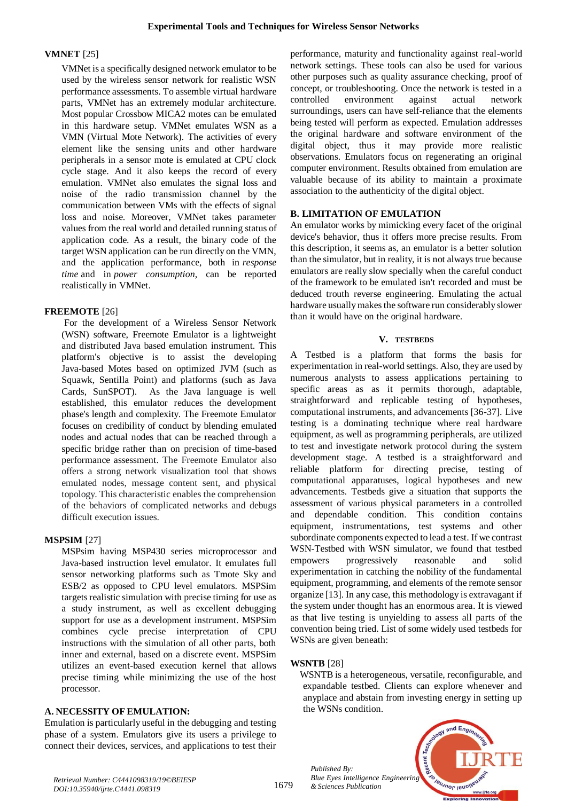## **VMNET** [25]

VMNet is a specifically designed network emulator to be used by the wireless sensor network for realistic WSN performance assessments. To assemble virtual hardware parts, VMNet has an extremely modular architecture. Most popular Crossbow MICA2 motes can be emulated in this hardware setup. VMNet emulates WSN as a VMN (Virtual Mote Network). The activities of every element like the sensing units and other hardware peripherals in a sensor mote is emulated at CPU clock cycle stage. And it also keeps the record of every emulation. VMNet also emulates the signal loss and noise of the radio transmission channel by the communication between VMs with the effects of signal loss and noise. Moreover, VMNet takes parameter values from the real world and detailed running status of application code. As a result, the binary code of the target WSN application can be run directly on the VMN, and the application performance, both in *response time* and in *power consumption*, can be reported realistically in VMNet.

## **FREEMOTE** [26]

For the development of a Wireless Sensor Network (WSN) software, Freemote Emulator is a lightweight and distributed Java based emulation instrument. This platform's objective is to assist the developing Java-based Motes based on optimized JVM (such as Squawk, Sentilla Point) and platforms (such as Java Cards, SunSPOT). As the Java language is well established, this emulator reduces the development phase's length and complexity. The Freemote Emulator focuses on credibility of conduct by blending emulated nodes and actual nodes that can be reached through a specific bridge rather than on precision of time-based performance assessment. The Freemote Emulator also offers a strong network visualization tool that shows emulated nodes, message content sent, and physical topology. This characteristic enables the comprehension of the behaviors of complicated networks and debugs difficult execution issues.

# **MSPSIM** [27]

MSPsim having MSP430 series microprocessor and Java-based instruction level emulator. It emulates full sensor networking platforms such as Tmote Sky and ESB/2 as opposed to CPU level emulators. MSPSim targets realistic simulation with precise timing for use as a study instrument, as well as excellent debugging support for use as a development instrument. MSPSim combines cycle precise interpretation of CPU instructions with the simulation of all other parts, both inner and external, based on a discrete event. MSPSim utilizes an event-based execution kernel that allows precise timing while minimizing the use of the host processor.

## **A. NECESSITY OF EMULATION:**

Emulation is particularly useful in the debugging and testing phase of a system. Emulators give its users a privilege to connect their devices, services, and applications to test their performance, maturity and functionality against real-world network settings. These tools can also be used for various other purposes such as quality assurance checking, proof of concept, or troubleshooting. Once the network is tested in a controlled environment against actual network surroundings, users can have self-reliance that the elements being tested will perform as expected. Emulation addresses the original hardware and software environment of the digital object, thus it may provide more realistic observations. Emulators focus on regenerating an original computer environment. Results obtained from emulation are valuable because of its ability to maintain a proximate association to the authenticity of the digital object.

# **B. LIMITATION OF EMULATION**

An emulator works by mimicking every facet of the original device's behavior, thus it offers more precise results. From this description, it seems as, an emulator is a better solution than the simulator, but in reality, it is not always true because emulators are really slow specially when the careful conduct of the framework to be emulated isn't recorded and must be deduced trouth reverse engineering. Emulating the actual hardware usually makes the software run considerably slower than it would have on the original hardware.

## **V. TESTBEDS**

A Testbed is a platform that forms the basis for experimentation in real-world settings. Also, they are used by numerous analysts to assess applications pertaining to specific areas as as it permits thorough, adaptable, straightforward and replicable testing of hypotheses, computational instruments, and advancements [36-37]. Live testing is a dominating technique where real hardware equipment, as well as programming peripherals, are utilized to test and investigate network protocol during the system development stage. A testbed is a straightforward and reliable platform for directing precise, testing of computational apparatuses, logical hypotheses and new advancements. Testbeds give a situation that supports the assessment of various physical parameters in a controlled and dependable condition. This condition contains equipment, instrumentations, test systems and other subordinate components expected to lead a test. If we contrast WSN-Testbed with WSN simulator, we found that testbed empowers progressively reasonable and solid experimentation in catching the nobility of the fundamental equipment, programming, and elements of the remote sensor organize [13]. In any case, this methodology is extravagant if the system under thought has an enormous area. It is viewed as that live testing is unyielding to assess all parts of the convention being tried. List of some widely used testbeds for WSNs are given beneath:

## **WSNTB** [28]

WSNTB is a heterogeneous, versatile, reconfigurable, and expandable testbed. Clients can explore whenever and anyplace and abstain from investing energy in setting up the WSNs condition.

*Published By: Blue Eyes Intelligence Engineering & Sciences Publication* 



*Retrieval Number: C4441098319/19©BEIESP DOI:10.35940/ijrte.C4441.098319*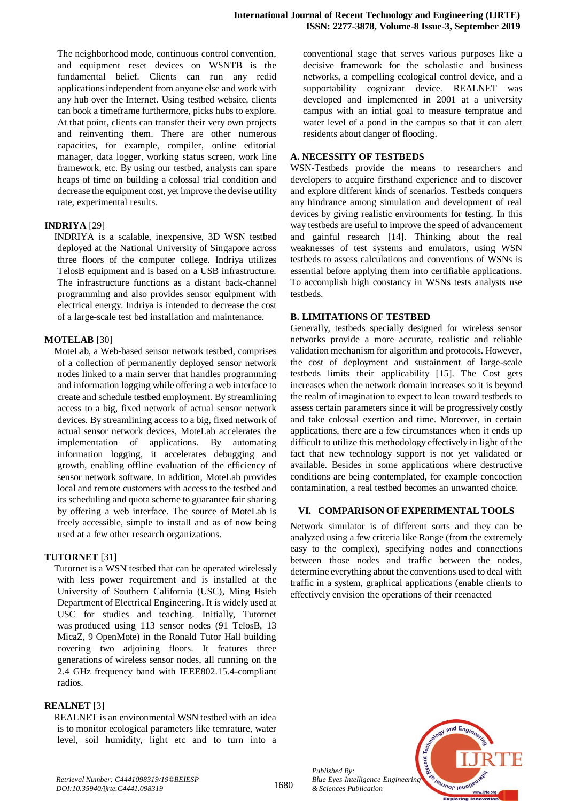The neighborhood mode, continuous control convention, and equipment reset devices on WSNTB is the fundamental belief. Clients can run any redid applications independent from anyone else and work with any hub over the Internet. Using testbed website, clients can book a timeframe furthermore, picks hubs to explore. At that point, clients can transfer their very own projects and reinventing them. There are other numerous capacities, for example, compiler, online editorial manager, data logger, working status screen, work line framework, etc. By using our testbed, analysts can spare heaps of time on building a colossal trial condition and decrease the equipment cost, yet improve the devise utility rate, experimental results.

## **INDRIYA** [29]

INDRIYA is a scalable, inexpensive, 3D WSN testbed deployed at the National University of Singapore across three floors of the computer college. Indriya utilizes TelosB equipment and is based on a USB infrastructure. The infrastructure functions as a distant back-channel programming and also provides sensor equipment with electrical energy. Indriya is intended to decrease the cost of a large-scale test bed installation and maintenance.

#### **MOTELAB** [30]

MoteLab, a Web-based sensor network testbed, comprises of a collection of permanently deployed sensor network nodes linked to a main server that handles programming and information logging while offering a web interface to create and schedule testbed employment. By streamlining access to a big, fixed network of actual sensor network devices. By streamlining access to a big, fixed network of actual sensor network devices, MoteLab accelerates the implementation of applications. By automating information logging, it accelerates debugging and growth, enabling offline evaluation of the efficiency of sensor network software. In addition, MoteLab provides local and remote customers with access to the testbed and its scheduling and quota scheme to guarantee fair sharing by offering a web interface. The source of MoteLab is freely accessible, simple to install and as of now being used at a few other research organizations.

## **TUTORNET** [31]

Tutornet is a WSN testbed that can be operated wirelessly with less power requirement and is installed at the University of Southern California (USC), Ming Hsieh Department of Electrical Engineering. It is widely used at USC for studies and teaching. Initially, Tutornet was produced using 113 sensor nodes (91 TelosB, 13 MicaZ, 9 OpenMote) in the Ronald Tutor Hall building covering two adjoining floors. It features three generations of wireless sensor nodes, all running on the 2.4 GHz frequency band with IEEE802.15.4-compliant radios.

#### **REALNET** [3]

REALNET is an environmental WSN testbed with an idea is to monitor ecological parameters like temrature, water level, soil humidity, light etc and to turn into a conventional stage that serves various purposes like a decisive framework for the scholastic and business networks, a compelling ecological control device, and a supportability cognizant device. REALNET was developed and implemented in 2001 at a university campus with an intial goal to measure tempratue and water level of a pond in the campus so that it can alert residents about danger of flooding.

#### **A. NECESSITY OF TESTBEDS**

WSN-Testbeds provide the means to researchers and developers to acquire firsthand experience and to discover and explore different kinds of scenarios. Testbeds conquers any hindrance among simulation and development of real devices by giving realistic environments for testing. In this way testbeds are useful to improve the speed of advancement and gainful research [14]. Thinking about the real weaknesses of test systems and emulators, using WSN testbeds to assess calculations and conventions of WSNs is essential before applying them into certifiable applications. To accomplish high constancy in WSNs tests analysts use testbeds.

#### **B. LIMITATIONS OF TESTBED**

Generally, testbeds specially designed for wireless sensor networks provide a more accurate, realistic and reliable validation mechanism for algorithm and protocols. However, the cost of deployment and sustainment of large-scale testbeds limits their applicability [15]. The Cost gets increases when the network domain increases so it is beyond the realm of imagination to expect to lean toward testbeds to assess certain parameters since it will be progressively costly and take colossal exertion and time. Moreover, in certain applications, there are a few circumstances when it ends up difficult to utilize this methodology effectively in light of the fact that new technology support is not yet validated or available. Besides in some applications where destructive conditions are being contemplated, for example concoction contamination, a real testbed becomes an unwanted choice.

#### **VI. COMPARISON OF EXPERIMENTAL TOOLS**

Network simulator is of different sorts and they can be analyzed using a few criteria like Range (from the extremely easy to the complex), specifying nodes and connections between those nodes and traffic between the nodes, determine everything about the conventions used to deal with traffic in a system, graphical applications (enable clients to effectively envision the operations of their reenacted



*Retrieval Number: C4441098319/19©BEIESP DOI:10.35940/ijrte.C4441.098319*

*Published By:*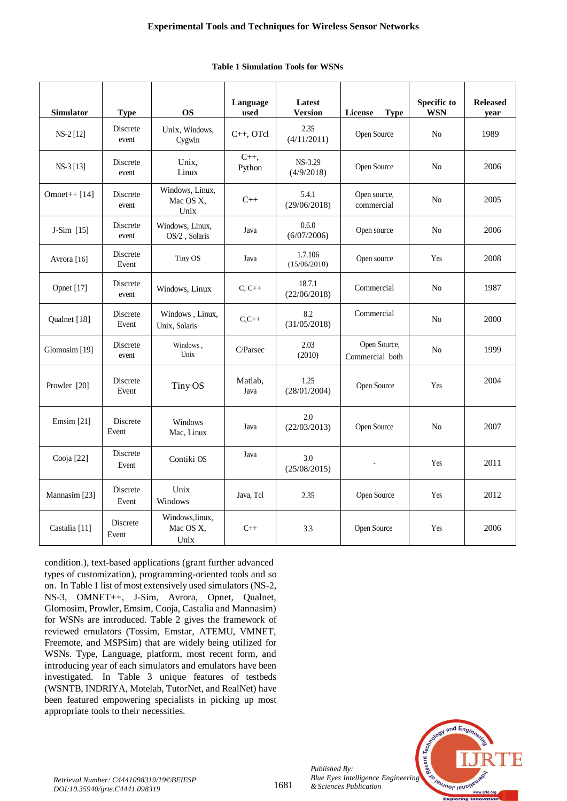| <b>Simulator</b>         | <b>Type</b>       | <b>OS</b>                            | Language<br>used   | Latest<br><b>Version</b> | License<br><b>Type</b>          | <b>Specific to</b><br><b>WSN</b> | <b>Released</b><br>year |
|--------------------------|-------------------|--------------------------------------|--------------------|--------------------------|---------------------------------|----------------------------------|-------------------------|
| NS-2 [12]                | Discrete<br>event | Unix, Windows,<br>Cygwin             | C++, OTcl          | 2.35<br>(4/11/2011)      | Open Source                     | N <sub>o</sub>                   | 1989                    |
| NS-3 [13]                | Discrete<br>event | Unix,<br>Linux                       | $C_{++}$<br>Python | NS-3.29<br>(4/9/2018)    | Open Source                     | N <sub>0</sub>                   | 2006                    |
| Omnet++ $[14]$           | Discrete<br>event | Windows, Linux,<br>Mac OS X,<br>Unix | $C++$              | 5.4.1<br>(29/06/2018)    | Open source,<br>commercial      | N <sub>0</sub>                   | 2005                    |
| J-Sim [15]               | Discrete<br>event | Windows, Linux,<br>OS/2, Solaris     | Java               | 0.6.0<br>(6/07/2006)     | Open source                     | No                               | 2006                    |
| Avrora [16]              | Discrete<br>Event | Tiny OS                              | Java               | 1.7.106<br>(15/06/2010)  | Open source                     | Yes                              | 2008                    |
| Opnet [17]               | Discrete<br>event | Windows, Linux                       | $C, C++$           | 18.7.1<br>(22/06/2018)   | Commercial                      | N <sub>0</sub>                   | 1987                    |
| Qualnet [18]             | Discrete<br>Event | Windows, Linux,<br>Unix, Solaris     | $C.C++$            | 8.2<br>(31/05/2018)      | Commercial                      | No                               | 2000                    |
| Glomosim [19]            | Discrete<br>event | Windows,<br>Unix                     | C/Parsec           | 2.03<br>(2010)           | Open Source,<br>Commercial both | N <sub>0</sub>                   | 1999                    |
| Prowler [20]             | Discrete<br>Event | Tiny OS                              | Matlab,<br>Java    | 1.25<br>(28/01/2004)     | Open Source                     | Yes                              | 2004                    |
| Emsim $[21]$             | Discrete<br>Event | Windows<br>Mac, Linux                | Java               | 2.0<br>(22/03/2013)      | Open Source                     | N <sub>0</sub>                   | 2007                    |
| Cooja [22]               | Discrete<br>Event | Contiki OS                           | Java               | 3.0<br>(25/08/2015)      |                                 | Yes                              | 2011                    |
| Mannasim [23]            | Discrete<br>Event | Unix<br>Windows                      | Java, Tcl          | 2.35                     | Open Source<br>Yes              |                                  | 2012                    |
| Castalia <sup>[11]</sup> | Discrete<br>Event | Windows, linux,<br>Mac OS X,<br>Unix | $C++$              | 3.3                      | Open Source<br>Yes              |                                  | 2006                    |

## **Table 1 Simulation Tools for WSNs**

condition.), text-based applications (grant further advanced types of customization), programming-oriented tools and so on. In Table 1 list of most extensively used simulators (NS-2, NS-3, OMNET++, J-Sim, Avrora, Opnet, Qualnet, Glomosim, Prowler, Emsim, Cooja, Castalia and Mannasim) for WSNs are introduced. Table 2 gives the framework of reviewed emulators (Tossim, Emstar, ATEMU, VMNET, Freemote, and MSPSim) that are widely being utilized for WSNs. Type, Language, platform, most recent form, and introducing year of each simulators and emulators have been investigated. In Table 3 unique features of testbeds (WSNTB, INDRIYA, Motelab, TutorNet, and RealNet) have been featured empowering specialists in picking up most appropriate tools to their necessities.



*Retrieval Number: C4441098319/19©BEIESP DOI:10.35940/ijrte.C4441.098319*

*Published By:*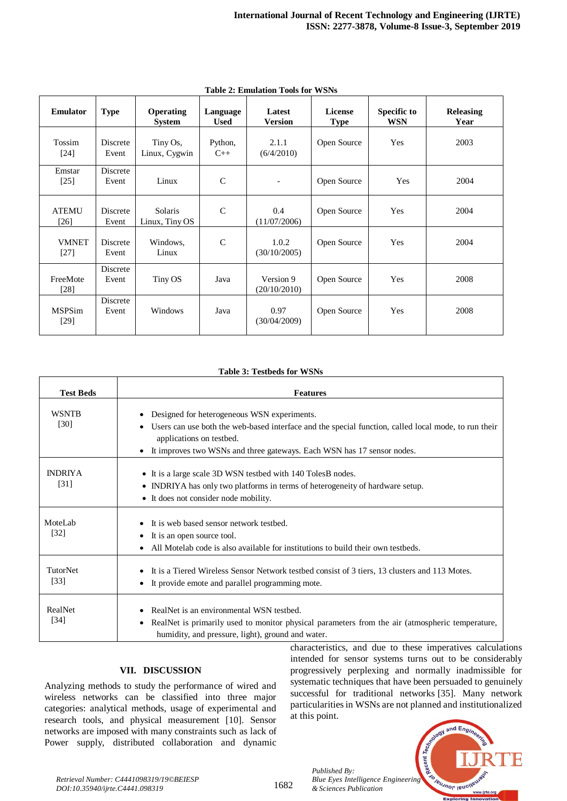| <b>Emulator</b>              | <b>Type</b>       | <b>Operating</b><br><b>System</b> | Language<br><b>Used</b> | Latest<br><b>Version</b>  | <b>License</b><br><b>Type</b> | <b>Specific to</b><br><b>WSN</b> | <b>Releasing</b><br>Year |
|------------------------------|-------------------|-----------------------------------|-------------------------|---------------------------|-------------------------------|----------------------------------|--------------------------|
| Tossim<br>$\lceil 24 \rceil$ | Discrete<br>Event | Tiny Os,<br>Linux, Cygwin         | Python,<br>$C++$        | 2.1.1<br>(6/4/2010)       | Open Source                   | Yes                              | 2003                     |
| Emstar<br>[25]               | Discrete<br>Event | Linux                             | $\mathsf{C}$            | $\overline{\phantom{a}}$  | Open Source                   | Yes                              | 2004                     |
| <b>ATEMU</b><br>$[26]$       | Discrete<br>Event | <b>Solaris</b><br>Linux, Tiny OS  | $\mathcal{C}$           | 0.4<br>(11/07/2006)       | Open Source                   | Yes                              | 2004                     |
| <b>VMNET</b><br>$[27]$       | Discrete<br>Event | Windows,<br>Linux                 | $\mathcal{C}$           | 1.0.2<br>(30/10/2005)     | Open Source                   | Yes                              | 2004                     |
| FreeMote<br>$[28]$           | Discrete<br>Event | Tiny OS                           | Java                    | Version 9<br>(20/10/2010) | Open Source                   | Yes                              | 2008                     |
| <b>MSPSim</b><br>$[29]$      | Discrete<br>Event | Windows                           | Java                    | 0.97<br>(30/04/2009)      | Open Source                   | Yes                              | 2008                     |

**Table 2: Emulation Tools for WSNs**

#### **Table 3: Testbeds for WSNs**

| <b>Test Beds</b>       | <b>Features</b>                                                                                                                                                                                                                                                                                                                                         |
|------------------------|---------------------------------------------------------------------------------------------------------------------------------------------------------------------------------------------------------------------------------------------------------------------------------------------------------------------------------------------------------|
| <b>WSNTB</b><br>[30]   | Designed for heterogeneous WSN experiments.<br>Users can use both the web-based interface and the special function, called local mode, to run their<br>applications on testbed.<br>It improves two WSNs and three gateways. Each WSN has 17 sensor nodes.<br>$\bullet$                                                                                  |
| <b>INDRIYA</b><br>[31] | • It is a large scale 3D WSN testbed with 140 Toles B nodes.<br>• INDRIYA has only two platforms in terms of heterogeneity of hardware setup.<br>• It does not consider node mobility.                                                                                                                                                                  |
| MoteLab<br>$[32]$      | It is web based sensor network testbed.<br>It is an open source tool.<br>All Motelab code is also available for institutions to build their own testbeds.                                                                                                                                                                                               |
| TutorNet<br>$[33]$     | It is a Tiered Wireless Sensor Network testbed consist of 3 tiers, 13 clusters and 113 Motes.<br>It provide emote and parallel programming mote.<br>٠                                                                                                                                                                                                   |
| RealNet<br>$[34]$      | RealNet is an environmental WSN testbed.<br>RealNet is primarily used to monitor physical parameters from the air (atmospheric temperature,<br>٠<br>humidity, and pressure, light), ground and water.<br>$\mathbf{a}$ and $\mathbf{a}$ are a set of $\mathbf{a}$ and $\mathbf{a}$ are a set of $\mathbf{a}$<br>$\cdot$ .<br>$1 \quad 1$<br>$\mathbf{1}$ |

## **VII. DISCUSSION**

Analyzing methods to study the performance of wired and wireless networks can be classified into three major categories: analytical methods, usage of experimental and research tools, and physical measurement [10]. Sensor networks are imposed with many constraints such as lack of Power supply, distributed collaboration and dynamic characteristics, and due to these imperatives calculations intended for sensor systems turns out to be considerably progressively perplexing and normally inadmissible for systematic techniques that have been persuaded to genuinely successful for traditional networks [35]. Many network particularities in WSNs are not planned and institutionalized at this point.



*Retrieval Number: C4441098319/19©BEIESP DOI:10.35940/ijrte.C4441.098319*

1682

*Published By: & Sciences Publication*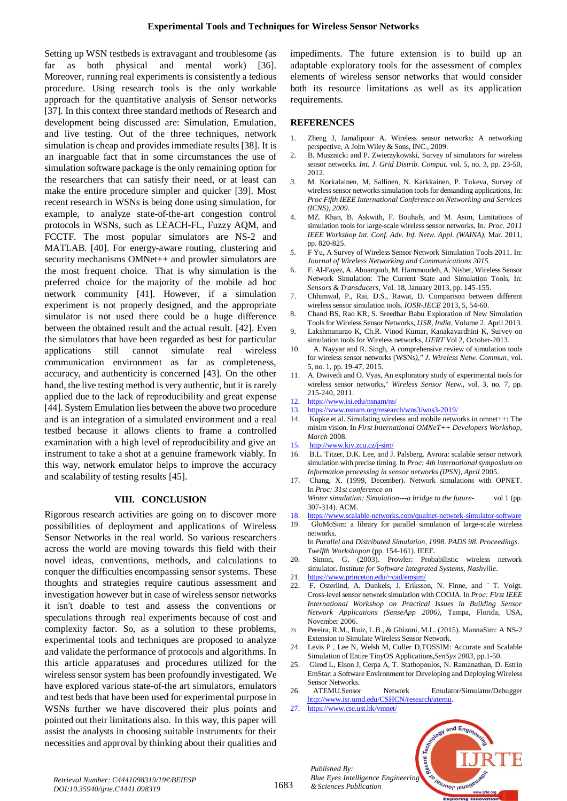Setting up WSN testbeds is extravagant and troublesome (as far as both physical and mental work) [36]. Moreover, running real experiments is consistently a tedious procedure. Using research tools is the only workable approach for the quantitative analysis of Sensor networks [37]. In this context three standard methods of Research and development being discussed are: Simulation, Emulation, and live testing. Out of the three techniques, network simulation is cheap and provides immediate results [38]. It is an inarguable fact that in some circumstances the use of simulation software package is the only remaining option for the researchers that can satisfy their need, or at least can make the entire procedure simpler and quicker [39]. Most recent research in WSNs is being done using simulation, for example, to analyze state-of-the-art congestion control protocols in WSNs, such as LEACH-FL, Fuzzy AQM, and FCCTF. The most popular simulators are NS-2 and MATLAB. [40]. For energy-aware routing, clustering and security mechanisms OMNet++ and prowler simulators are the most frequent choice. That is why simulation is the preferred choice for the majority of the mobile ad hoc network community [41]. However, if a simulation experiment is not properly designed, and the appropriate simulator is not used there could be a huge difference between the obtained result and the actual result. [42]. Even the simulators that have been regarded as best for particular applications still cannot simulate real wireless communication environment as far as completeness, accuracy, and authenticity is concerned [43]. On the other hand, the live testing method is very authentic, but it is rarely applied due to the lack of reproducibility and great expense [44]. System Emulation lies between the above two procedure and is an integration of a simulated environment and a real testbed because it allows clients to frame a controlled examination with a high level of reproducibility and give an instrument to take a shot at a genuine framework viably. In this way, network emulator helps to improve the accuracy and scalability of testing results [45].

## **VIII. CONCLUSION**

Rigorous research activities are going on to discover more possibilities of deployment and applications of Wireless Sensor Networks in the real world. So various researchers across the world are moving towards this field with their novel ideas, conventions, methods, and calculations to conquer the difficulties encompassing sensor systems. These thoughts and strategies require cautious assessment and investigation however but in case of wireless sensor networks it isn't doable to test and assess the conventions or speculations through real experiments because of cost and complexity factor. So, as a solution to these problems, experimental tools and techniques are proposed to analyze and validate the performance of protocols and algorithms. In this article apparatuses and procedures utilized for the wireless sensor system has been profoundly investigated. We have explored various state-of-the art simulators, emulators and test beds that have been used for experimental purpose in WSNs further we have discovered their plus points and pointed out their limitations also. In this way, this paper will assist the analysts in choosing suitable instruments for their necessities and approval by thinking about their qualities and impediments. The future extension is to build up an adaptable exploratory tools for the assessment of complex elements of wireless sensor networks that would consider both its resource limitations as well as its application requirements.

#### **REFERENCES**

- 1. Zheng J, Jamalipour A. Wireless sensor networks: A networking perspective, A John Wiley & Sons, INC., 2009.
- 2. B. Musznicki and P. Zwierzykowski, Survey of simulators for wireless sensor networks. *Int. J. Grid Distrib. Comput.* vol. 5, no. 3, pp. 23-50, 2012.
- *3.* M. Korkalainen, M. Sallinen, N. Karkkainen, P. Tukeva, Survey of wireless sensor networks simulation tools for demanding applications, In: *Proc Fifth IEEE International Conference on Networking and Services (ICNS), 2009.*
- 4. MZ. Khan, B. Askwith, F. Bouhafs, and M. Asim, Limitations of simulation tools for large-scale wireless sensor networks, In*: Proc. 2011 IEEE Workshop Int. Conf. Adv. Inf. Netw. Appl. (WAINA),* Mar. 2011, pp. 820-825.
- *5.* F Yu, A Survey of Wireless Sensor Network Simulation Tools 2011. In: *Journal of Wireless Networking and Communications 2015.*
- 6. F. Al-Fayez, A. Abuarqoub, M. Hammoudeh, A. Nisbet, Wireless Sensor Network Simulation: The Current State and Simulation Tools, In: *Sensors & Transducers,* Vol. 18, January 2013, pp. 145-155.
- 7. Chhimwal, P., Rai, D.S., Rawat, D. Comparison between different wireless sensor simulation tools*. IOSR-JECE* 2013, 5, 54-60.
- 8. Chand BS, Rao KR, S. Sreedhar Babu Exploration of New Simulation Tools for Wireless Sensor Networks, *IJSR*, *India,* Volume 2, April 2013.
- 9. Lakshmanarao K, Ch.R. Vinod Kumar, Kanakavardhini K, Survey on simulation tools for Wireless networks*, IJERT* Vol 2, October-2013.
- 10. A. Nayyar and R. Singh, A comprehensive review of simulation tools for wireless sensor networks (WSNs*)," J. Wireless Netw. Commun*, vol. 5, no. 1, pp. 19-47, 2015.
- 11. A. Dwivedi and O. Vyas, An exploratory study of experimental tools for wireless sensor networks," *Wireless Sensor Netw.*, vol. 3, no. 7, pp. 215-240, 2011.
- 12. <https://www.isi.edu/nsnam/ns/>
- 13. <https://www.nsnam.org/research/wns3/wns3-2019/>
- 14. Kopke et al. Simulating wireless and mobile networks in omnet++: The mixim vision. In *First International OMNeT++ Developers Workshop, March* 2008.
- 15.  $\frac{http://www.kiv.zcu.cz/j-sim/}{B.L. Titzer. D.K. Lee. and J}$  $\frac{http://www.kiv.zcu.cz/j-sim/}{B.L. Titzer. D.K. Lee. and J}$  $\frac{http://www.kiv.zcu.cz/j-sim/}{B.L. Titzer. D.K. Lee. and J}$
- B.L. Titzer, D.K. Lee, and J. Palsberg. Avrora: scalable sensor network simulation with precise timing. In *Proc: 4th international symposium on Information processing in sensor networks (IPSN), April* 2005.
- 17. Chang, X. (1999, December). Network simulations with OPNET. In *Proc: 31st conference on Winter simulation: Simulation---a bridge to the future-* vol 1 (pp.
- 307-314). ACM.
- 18. <https://www.scalable-networks.com/qualnet-network-simulator-software>
- 19. GloMoSim: a library for parallel simulation of large-scale wireless networks. In *Parallel and Distributed Simulation, 1998. PADS 98. Proceedings.*

*Twelfth Workshopon* (pp. 154-161). IEEE.

- 20. Simon, G. (2003). Prowler: Probabilistic wireless network simulator. *Institute for Software Integrated Systems, Nashville*.
- 21. <https://www.princeton.edu/~cad/emsim/>
- 22. F. Osterlind, A. Dunkels, J. Eriksson, N. Finne, and ¨ T. Voigt. Cross-level sensor network simulation with COOJA. In *Proc: First IEEE International Workshop on Practical Issues in Building Sensor Network Applications (SenseApp 2006),* Tampa, Florida, USA, November 2006.
- 23. Pereira, R.M., Ruiz, L.B., & Ghizoni, M.L. (2015). MannaSim: A NS-2 Extension to Simulate Wireless Sensor Network.
- 24. Levis P , Lee N, Welsh M, Culler D,TOSSIM: Accurate and Scalable Simulation of Entire TinyOS Applications,*SenSys 2003*, pp.1-50.
- 25. Girod L, Elson J, Cerpa A, T. Stathopoulos, N. Ramanathan, D. Estrin EmStar: a Software Environment for Developing and Deploying Wireless Sensor Networks.<br>ATEMU.Sensor
- 26. ATEMU.Sensor Network Emulator/Simulator/Debugger [http://www.isr.umd.edu/CSHCN/research/atemu.](http://www.isr.umd.edu/CSHCN/research/atemu)
- 27. <https://www.cse.ust.hk/vmnet/>

*& Sciences Publication* 

*Published By:*